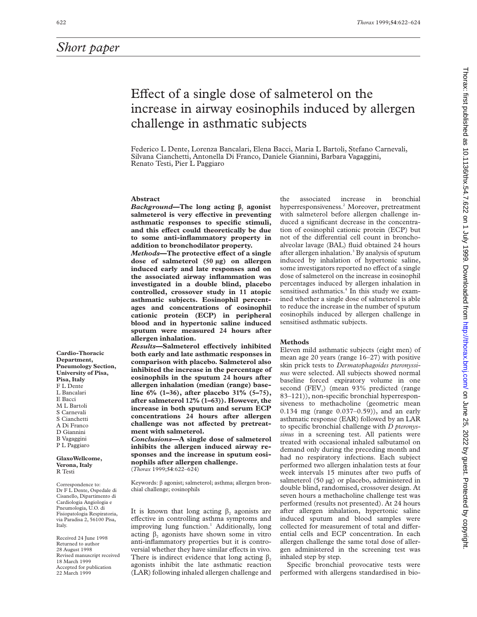# Effect of a single dose of salmeterol on the increase in airway eosinophils induced by allergen challenge in asthmatic subjects

Federico L Dente, Lorenza Bancalari, Elena Bacci, Maria L Bartoli, Stefano Carnevali, Silvana Cianchetti, Antonella Di Franco, Daniele Giannini, Barbara Vagaggini, Renato Testi, Pier L Paggiaro

#### **Abstract**

*Background***—The long acting â<sup>2</sup> agonist** salmeterol is very effective in preventing **asthmatic responses to specific stimuli,** and this effect could theoretically be due **to some anti-inflammatory property in addition to bronchodilator property.**

*Methods*—The protective effect of a single **dose of salmeterol (50 µg) on allergen induced early and late responses and on the associated airway inflammation was investigated in a double blind, placebo controlled, crossover study in 11 atopic asthmatic subjects. Eosinophil percentages and concentrations of eosinophil cationic protein (ECP) in peripheral blood and in hypertonic saline induced sputum were measured 24 hours after allergen inhalation.**

 $Results$ **—Salmeterol effectively inhibited both early and late asthmatic responses in comparison with placebo. Salmeterol also inhibited the increase in the percentage of eosinophils in the sputum 24 hours after allergen inhalation (median (range) baseline 6% (1–36), after placebo 31% (5–75), after salmeterol 12% (1–63)). However, the increase in both sputum and serum ECP concentrations 24 hours after allergen** challenge was not affected by pretreat**ment with salmeterol.**

*Conclusions***—A single dose of salmeterol inhibits the allergen induced airway responses and the increase in sputum eosinophils after allergen challenge.** (*Thorax* 1999;**54**:622–624)

Keywords:  $\beta$  agonist; salmeterol; asthma; allergen bronchial challenge; eosinophils

It is known that long acting  $\beta$ , agonists are effective in controlling asthma symptoms and improving lung function.<sup>1</sup> Additionally, long acting  $\beta_2$  agonists have shown some in vitro anti-inflammatory properties but it is controversial whether they have similar effects in vivo. There is indirect evidence that long acting  $\beta$ , agonists inhibit the late asthmatic reaction (LAR) following inhaled allergen challenge and

the associated increase in bronchial hyperresponsiveness.<sup>2</sup> Moreover, pretreatment with salmeterol before allergen challenge induced a significant decrease in the concentration of eosinophil cationic protein (ECP) but not of the differential cell count in bronchoalveolar lavage (BAL) fluid obtained 24 hours after allergen inhalation.<sup>3</sup> By analysis of sputum induced by inhalation of hypertonic saline, some investigators reported no effect of a single dose of salmeterol on the increase in eosinophil percentages induced by allergen inhalation in sensitised asthmatics.<sup>4</sup> In this study we examined whether a single dose of salmeterol is able to reduce the increase in the number of sputum eosinophils induced by allergen challenge in sensitised asthmatic subjects.

## **Methods**

Eleven mild asthmatic subjects (eight men) of mean age 20 years (range 16–27) with positive skin prick tests to *Dermatophagoides pteronyssinus* were selected. All subjects showed normal baseline forced expiratory volume in one second  $(FEV_1)$  (mean 93% predicted (range 83–121)), non-specific bronchial hyperresponsiveness to methacholine (geometric mean 0.134 mg (range 0.037–0.59)), and an early asthmatic response (EAR) followed by an LAR to specific bronchial challenge with *D pteronyssinus* in a screening test. All patients were treated with occasional inhaled salbutamol on demand only during the preceding month and had no respiratory infections. Each subject performed two allergen inhalation tests at four week intervals 15 minutes after two puffs of salmeterol (50 µg) or placebo, administered in double blind, randomised, crossover design. At seven hours a methacholine challenge test was performed (results not presented). At 24 hours after allergen inhalation, hypertonic saline induced sputum and blood samples were collected for measurement of total and differential cells and ECP concentration. In each allergen challenge the same total dose of allergen administered in the screening test was inhaled step by step.

Specific bronchial provocative tests were performed with allergens standardised in bio-

**Cardio-Thoracic Department, Pneumology Section, University of Pisa, Pisa, Italy** F L Dente L Bancalari E Bacci M L Bartoli S Carnevali S Cianchetti A Di Franco D Giannini B Vagaggini P L Paggiaro

**GlaxoWellcome, Verona, Italy** R Testi

Correspondence to: Dr F L Dente, Ospedale di Cisanello, Dipartimento di Cardiologia Angiologia e Pneumologia, U.O. di Fisiopatologia Respiratoria, via Paradisa 2, 56100 Pisa, Italy.

Received 24 June 1998 Returned to author 28 August 1998 Revised manuscript received 18 March 1999 Accepted for publication 22 March 1999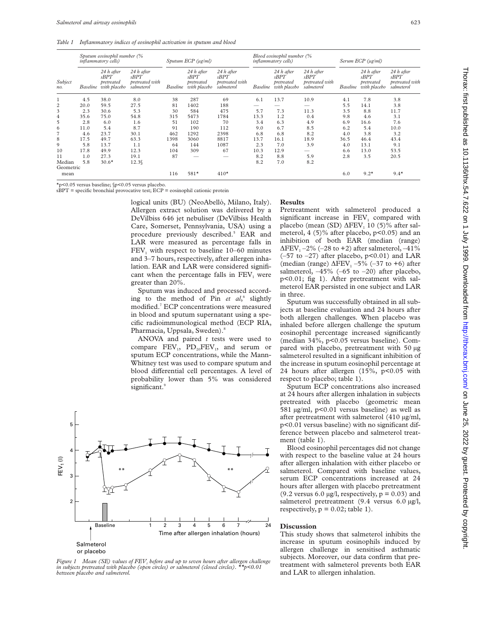*Table 1 Inflammatory indices of eosinophil activation in sputum and blood*

| Subject<br>no.      | Sputum eosinophil number (%<br><i>inflammatory cells</i> ) |                                                  |                                                     | Sputum ECP (ug/ml) |                                                  |                                                     | Blood eosinophil number (%<br><i>inflammatory cells)</i> |                                                  |                                                     | Serum ECP (µg/ml) |                                                  |                                                     |
|---------------------|------------------------------------------------------------|--------------------------------------------------|-----------------------------------------------------|--------------------|--------------------------------------------------|-----------------------------------------------------|----------------------------------------------------------|--------------------------------------------------|-----------------------------------------------------|-------------------|--------------------------------------------------|-----------------------------------------------------|
|                     | Baseline                                                   | 24 h after<br>sBPT<br>pretreated<br>with placebo | 24 h after<br>sBPT<br>pretreated with<br>salmeterol | <b>Baseline</b>    | 24 h after<br>sBPT<br>pretreated<br>with placebo | 24 h after<br>sBPT<br>pretreated with<br>salmeterol | <b>Baseline</b>                                          | 24 h after<br>sBPT<br>pretreated<br>with placebo | 24 h after<br>sBPT<br>pretreated with<br>salmeterol | <b>Baseline</b>   | 24 h after<br>sBPT<br>pretreated<br>with placebo | 24 h after<br>sBPT<br>pretreated with<br>salmeterol |
|                     | 4.5                                                        | 38.0                                             | 8.0                                                 | 38                 | 287                                              | 69                                                  | 6.1                                                      | 13.7                                             | 10.9                                                | 4.1               | 7.8                                              | 3.8                                                 |
| $\overline{2}$      | 20.0                                                       | 59.5                                             | 27.5                                                | 81                 | 1402                                             | 188                                                 |                                                          |                                                  |                                                     | 5.5               | 14.1                                             | 3.8                                                 |
| 3                   | 2.3                                                        | 30.6                                             | 5.3                                                 | 30                 | 584                                              | 475                                                 | 5.7                                                      | 7.3                                              | 11.3                                                | 3.5               | 8.8                                              | 11.7                                                |
| 4                   | 35.6                                                       | 75.0                                             | 54.8                                                | 315                | 5473                                             | 1784                                                | 13.3                                                     | 1.2                                              | 0.4                                                 | 9.8               | 4.6                                              | 3.1                                                 |
| 5                   | 2.8                                                        | 6.0                                              | 1.6                                                 | 51                 | 102                                              | 70                                                  | 3.4                                                      | 6.3                                              | 4.9                                                 | 6.9               | 16.6                                             | 7.6                                                 |
| 6                   | 11.0                                                       | 5.4                                              | 8.7                                                 | 91                 | 190                                              | 112                                                 | 9.0                                                      | 6.7                                              | 8.5                                                 | 6.2               | 5.4                                              | 10.0                                                |
| 7                   | 4.6                                                        | 23.7                                             | 30.1                                                | 462                | 1292                                             | 2398                                                | 6.8                                                      | 6.8                                              | 8.2                                                 | 4.0               | 3.8                                              | 3.2                                                 |
| 8                   | 17.5                                                       | 49.7                                             | 63.3                                                | 1398               | 3060                                             | 8817                                                | 13.7                                                     | 16.1                                             | 18.9                                                | 36.5              | 46.4                                             | 43.4                                                |
| 9                   | 5.8                                                        | 13.7                                             | 1.1                                                 | 64                 | 144                                              | 1087                                                | 2.3                                                      | 7.0                                              | 3.9                                                 | 4.0               | 13.1                                             | 9.1                                                 |
| 10                  | 17.8                                                       | 49.9                                             | 12.3                                                | 104                | 309                                              | 67                                                  | 10.3                                                     | 12.9                                             |                                                     | 6.6               | 13.0                                             | 53.5                                                |
| 11                  | 1.0                                                        | 27.3                                             | 19.1                                                | 87                 |                                                  |                                                     | 8.2                                                      | 8.8                                              | 5.9                                                 | 2.8               | 3.5                                              | 20.5                                                |
| Median<br>Geometric | 5.8                                                        | $30.6*$                                          | $12.3\%$                                            |                    |                                                  |                                                     | 8.2                                                      | 7.0                                              | 8.2                                                 |                   |                                                  |                                                     |
| mean                |                                                            |                                                  |                                                     | 116                | $581*$                                           | $410*$                                              |                                                          |                                                  |                                                     | 6.0               | $9.2*$                                           | $9.4*$                                              |

\*p<0.05 versus baseline; §p<0.05 versus placebo.

sBPT = specific bronchial provocative test; ECP = eosinophil cationic protein

logical units (BU) (NeoAbellò, Milano, Italy). Allergen extract solution was delivered by a DeVilbiss 646 jet nebuliser (DeVilbiss Health Care, Somerset, Pennsylvania, USA) using a procedure previously described.<sup>5</sup> EAR and LAR were measured as percentage falls in  $FEV<sub>1</sub>$  with respect to baseline 10–60 minutes and 3–7 hours, respectively, after allergen inhalation. EAR and LAR were considered significant when the percentage falls in  $FEV<sub>1</sub>$  were greater than 20%.

Sputum was induced and processed according to the method of Pin *et al*, <sup>6</sup> slightly modified.7 ECP concentrations were measured in blood and sputum supernatant using a specific radioimmunological method (ECP RIA, Pharmacia, Uppsala, Sweden).8

ANOVA and paired *t* tests were used to compare  $FEV_1$ ,  $PD_{20}FEV_1$ , and serum or sputum ECP concentrations, while the Mann-Whitney test was used to compare sputum and blood differential cell percentages. A level of probability lower than 5% was considered significant.<sup>9</sup>



*Figure 1* Mean (SE) values of FEV<sub>1</sub> before and up to seven hours after allergen challenge *in subjects pretreated with placebo (open circles) or salmeterol (closed circles). between placebo and salmeterol.*

### **Results**

Pretreatment with salmeterol produced a significant increase in  $FEV<sub>1</sub>$  compared with placebo (mean (SD)  $\Delta$ FEV<sub>1</sub> 10 (5)% after salmeterol, 4 (5)% after placebo, p<0.05) and an inhibition of both EAR (median (range)  $\Delta$ FEV<sub>1</sub> –2% (–28 to +2) after salmeterol, –41%  $(-57$  to  $-27)$  after placebo,  $p<0.01$ ) and LAR (median (range)  $\Delta$ FEV<sub>1</sub> –5% (–37 to +6) after salmeterol,  $-45\%$  (-65 to -20) after placebo, p<0.01; fig 1). After pretreatment with salmeterol EAR persisted in one subject and LAR in three.

Sputum was successfully obtained in all subjects at baseline evaluation and 24 hours after both allergen challenges. When placebo was inhaled before allergen challenge the sputum eosinophil percentage increased significantly (median 34%, p<0.05 versus baseline). Compared with placebo, pretreatment with 50 µg salmeterol resulted in a significant inhibition of the increase in sputum eosinophil percentage at 24 hours after allergen (15%, p<0.05 with respect to placebo; table 1).

Sputum ECP concentrations also increased at 24 hours after allergen inhalation in subjects pretreated with placebo (geometric mean 581 µg/ml, p<0.01 versus baseline) as well as after pretreatment with salmeterol (410 µg/ml, p<0.01 versus baseline) with no significant difference between placebo and salmeterol treatment (table 1).

Blood eosinophil percentages did not change with respect to the baseline value at 24 hours after allergen inhalation with either placebo or salmeterol. Compared with baseline values, serum ECP concentrations increased at 24 hours after allergen with placebo pretreatment (9.2 versus 6.0  $\mu$ g/l, respectively,  $p = 0.03$ ) and salmeterol pretreatment (9.4 versus 6.0 µg/l, respectively,  $p = 0.02$ ; table 1).

## **Discussion**

This study shows that salmeterol inhibits the increase in sputum eosinophils induced by allergen challenge in sensitised asthmatic subjects. Moreover, our data confirm that pretreatment with salmeterol prevents both EAR and LAR to allergen inhalation.